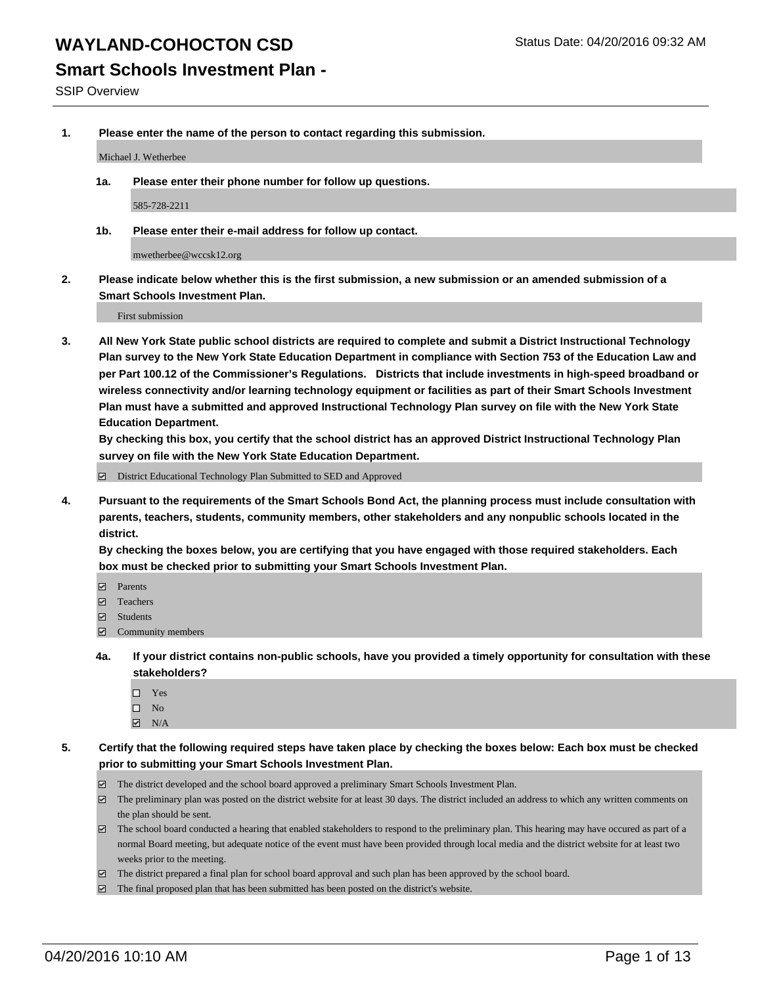**Smart Schools Investment Plan -**

SSIP Overview

**1. Please enter the name of the person to contact regarding this submission.**

Michael J. Wetherbee

**1a. Please enter their phone number for follow up questions.**

585-728-2211

**1b. Please enter their e-mail address for follow up contact.**

mwetherbee@wccsk12.org

**2. Please indicate below whether this is the first submission, a new submission or an amended submission of a Smart Schools Investment Plan.**

First submission

**3. All New York State public school districts are required to complete and submit a District Instructional Technology Plan survey to the New York State Education Department in compliance with Section 753 of the Education Law and per Part 100.12 of the Commissioner's Regulations. Districts that include investments in high-speed broadband or wireless connectivity and/or learning technology equipment or facilities as part of their Smart Schools Investment Plan must have a submitted and approved Instructional Technology Plan survey on file with the New York State Education Department.** 

**By checking this box, you certify that the school district has an approved District Instructional Technology Plan survey on file with the New York State Education Department.**

■ District Educational Technology Plan Submitted to SED and Approved

**4. Pursuant to the requirements of the Smart Schools Bond Act, the planning process must include consultation with parents, teachers, students, community members, other stakeholders and any nonpublic schools located in the district.** 

**By checking the boxes below, you are certifying that you have engaged with those required stakeholders. Each box must be checked prior to submitting your Smart Schools Investment Plan.**

- **Parents**
- □ Teachers
- Students
- $\boxdot$  Community members
- **4a. If your district contains non-public schools, have you provided a timely opportunity for consultation with these stakeholders?**
	- □ Yes
	- $\square$  No
	- $\boxtimes$  N/A
- **5. Certify that the following required steps have taken place by checking the boxes below: Each box must be checked prior to submitting your Smart Schools Investment Plan.**
	- The district developed and the school board approved a preliminary Smart Schools Investment Plan.
	- The preliminary plan was posted on the district website for at least 30 days. The district included an address to which any written comments on the plan should be sent.
	- $\Box$  The school board conducted a hearing that enabled stakeholders to respond to the preliminary plan. This hearing may have occured as part of a normal Board meeting, but adequate notice of the event must have been provided through local media and the district website for at least two weeks prior to the meeting.
	- The district prepared a final plan for school board approval and such plan has been approved by the school board.
	- The final proposed plan that has been submitted has been posted on the district's website.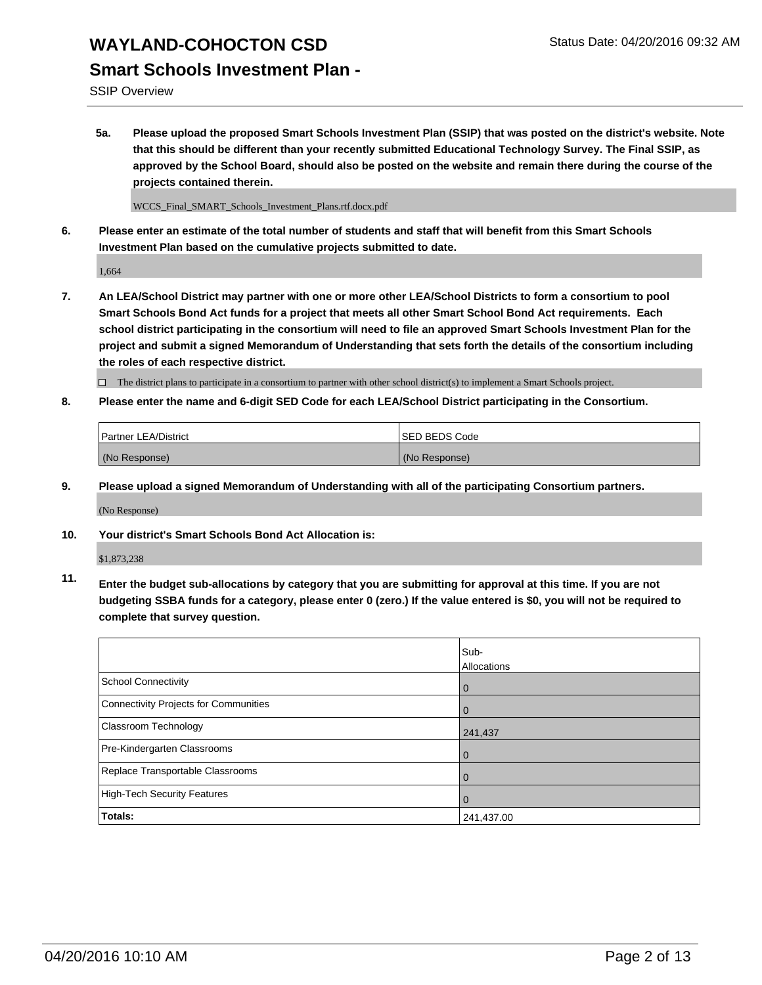### **Smart Schools Investment Plan -**

SSIP Overview

**5a. Please upload the proposed Smart Schools Investment Plan (SSIP) that was posted on the district's website. Note that this should be different than your recently submitted Educational Technology Survey. The Final SSIP, as approved by the School Board, should also be posted on the website and remain there during the course of the projects contained therein.**

WCCS\_Final\_SMART\_Schools\_Investment\_Plans.rtf.docx.pdf

**6. Please enter an estimate of the total number of students and staff that will benefit from this Smart Schools Investment Plan based on the cumulative projects submitted to date.**

1,664

**7. An LEA/School District may partner with one or more other LEA/School Districts to form a consortium to pool Smart Schools Bond Act funds for a project that meets all other Smart School Bond Act requirements. Each school district participating in the consortium will need to file an approved Smart Schools Investment Plan for the project and submit a signed Memorandum of Understanding that sets forth the details of the consortium including the roles of each respective district.**

 $\Box$  The district plans to participate in a consortium to partner with other school district(s) to implement a Smart Schools project.

**8. Please enter the name and 6-digit SED Code for each LEA/School District participating in the Consortium.**

| Partner LEA/District | <b>ISED BEDS Code</b> |
|----------------------|-----------------------|
| (No Response)        | (No Response)         |

**9. Please upload a signed Memorandum of Understanding with all of the participating Consortium partners.**

(No Response)

**10. Your district's Smart Schools Bond Act Allocation is:**

\$1,873,238

**11. Enter the budget sub-allocations by category that you are submitting for approval at this time. If you are not budgeting SSBA funds for a category, please enter 0 (zero.) If the value entered is \$0, you will not be required to complete that survey question.**

|                                       | Sub-<br>Allocations |
|---------------------------------------|---------------------|
| School Connectivity                   | 0                   |
| Connectivity Projects for Communities |                     |
| <b>Classroom Technology</b>           | 241,437             |
| Pre-Kindergarten Classrooms           | 0                   |
| Replace Transportable Classrooms      | 0                   |
| High-Tech Security Features           | 0                   |
| Totals:                               | 241,437.00          |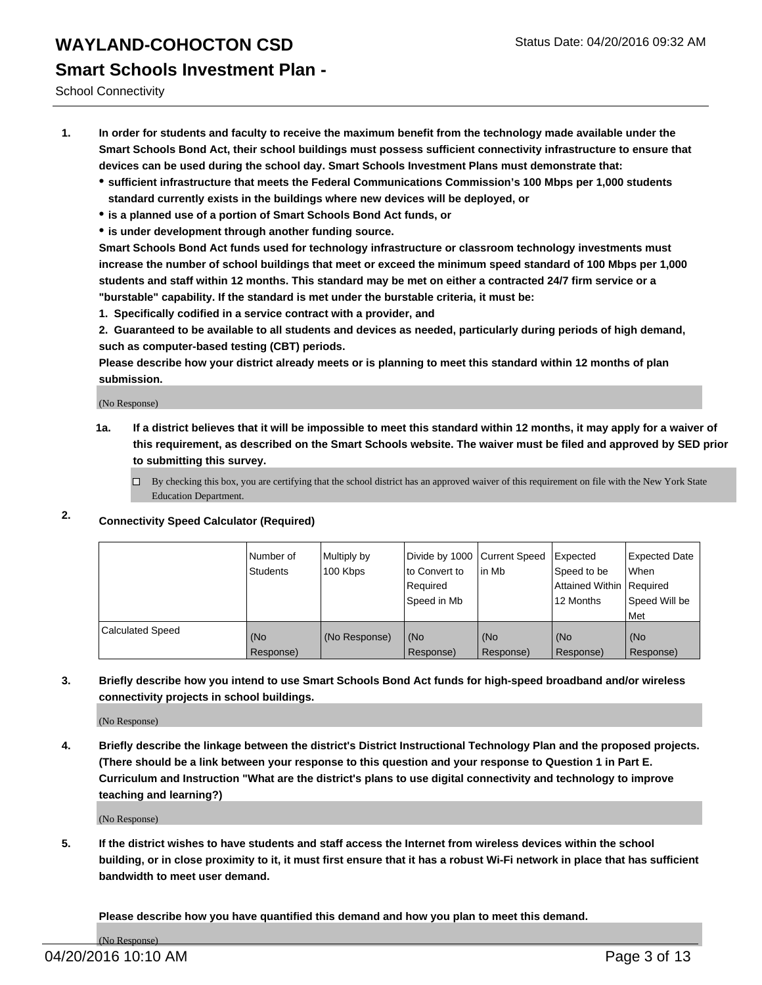# **WAYLAND-COHOCTON CSD** Status Date: 04/20/2016 09:32 AM **Smart Schools Investment Plan -**

School Connectivity

- **1. In order for students and faculty to receive the maximum benefit from the technology made available under the Smart Schools Bond Act, their school buildings must possess sufficient connectivity infrastructure to ensure that devices can be used during the school day. Smart Schools Investment Plans must demonstrate that:**
	- **sufficient infrastructure that meets the Federal Communications Commission's 100 Mbps per 1,000 students standard currently exists in the buildings where new devices will be deployed, or**
	- **is a planned use of a portion of Smart Schools Bond Act funds, or**
	- **is under development through another funding source.**

**Smart Schools Bond Act funds used for technology infrastructure or classroom technology investments must increase the number of school buildings that meet or exceed the minimum speed standard of 100 Mbps per 1,000 students and staff within 12 months. This standard may be met on either a contracted 24/7 firm service or a "burstable" capability. If the standard is met under the burstable criteria, it must be:**

**1. Specifically codified in a service contract with a provider, and**

**2. Guaranteed to be available to all students and devices as needed, particularly during periods of high demand, such as computer-based testing (CBT) periods.**

**Please describe how your district already meets or is planning to meet this standard within 12 months of plan submission.**

(No Response)

- **1a. If a district believes that it will be impossible to meet this standard within 12 months, it may apply for a waiver of this requirement, as described on the Smart Schools website. The waiver must be filed and approved by SED prior to submitting this survey.**
	- □ By checking this box, you are certifying that the school district has an approved waiver of this requirement on file with the New York State Education Department.
- **2. Connectivity Speed Calculator (Required)**

|                         | Number of<br>Students | Multiply by<br>100 Kbps | Divide by 1000 Current Speed<br>to Convert to<br>Reauired<br>Speed in Mb | lin Mb             | Expected<br>Speed to be<br>Attained Within   Required<br>12 Months | <b>Expected Date</b><br>l When<br>Speed Will be<br>l Met |
|-------------------------|-----------------------|-------------------------|--------------------------------------------------------------------------|--------------------|--------------------------------------------------------------------|----------------------------------------------------------|
| <b>Calculated Speed</b> | (No<br>Response)      | (No Response)           | (No<br>Response)                                                         | l (No<br>Response) | (No<br>Response)                                                   | l (No<br>Response)                                       |

#### **3. Briefly describe how you intend to use Smart Schools Bond Act funds for high-speed broadband and/or wireless connectivity projects in school buildings.**

(No Response)

**4. Briefly describe the linkage between the district's District Instructional Technology Plan and the proposed projects. (There should be a link between your response to this question and your response to Question 1 in Part E. Curriculum and Instruction "What are the district's plans to use digital connectivity and technology to improve teaching and learning?)**

(No Response)

**5. If the district wishes to have students and staff access the Internet from wireless devices within the school building, or in close proximity to it, it must first ensure that it has a robust Wi-Fi network in place that has sufficient bandwidth to meet user demand.**

**Please describe how you have quantified this demand and how you plan to meet this demand.**

(No Response)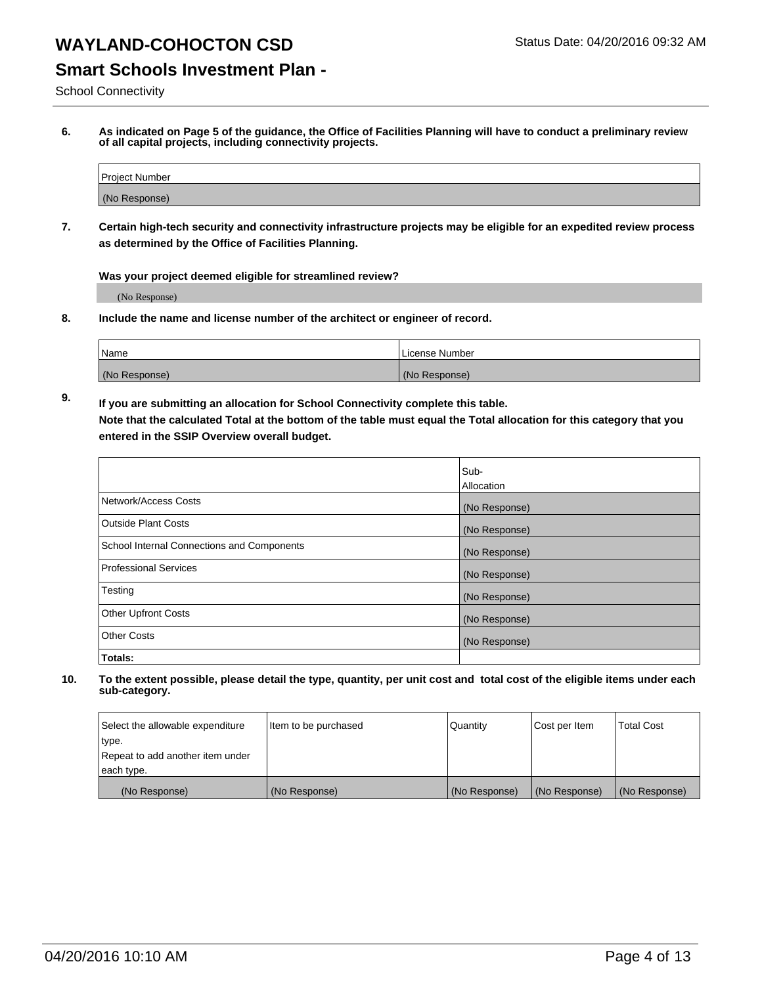### **Smart Schools Investment Plan -**

School Connectivity

**6. As indicated on Page 5 of the guidance, the Office of Facilities Planning will have to conduct a preliminary review of all capital projects, including connectivity projects.**

| Project Number |  |
|----------------|--|
| (No Response)  |  |

**7. Certain high-tech security and connectivity infrastructure projects may be eligible for an expedited review process as determined by the Office of Facilities Planning.**

**Was your project deemed eligible for streamlined review?**

(No Response)

**8. Include the name and license number of the architect or engineer of record.**

| 'Name         | i License Number |
|---------------|------------------|
| (No Response) | (No Response)    |

**9. If you are submitting an allocation for School Connectivity complete this table. Note that the calculated Total at the bottom of the table must equal the Total allocation for this category that you entered in the SSIP Overview overall budget.** 

|                                            | Sub-              |
|--------------------------------------------|-------------------|
|                                            | <b>Allocation</b> |
| Network/Access Costs                       | (No Response)     |
| <b>Outside Plant Costs</b>                 | (No Response)     |
| School Internal Connections and Components | (No Response)     |
| <b>Professional Services</b>               | (No Response)     |
| Testing                                    | (No Response)     |
| <b>Other Upfront Costs</b>                 | (No Response)     |
| <b>Other Costs</b>                         | (No Response)     |
| Totals:                                    |                   |

| Select the allowable expenditure | Item to be purchased | Quantity      | Cost per Item | Total Cost    |
|----------------------------------|----------------------|---------------|---------------|---------------|
| type.                            |                      |               |               |               |
| Repeat to add another item under |                      |               |               |               |
| each type.                       |                      |               |               |               |
| (No Response)                    | (No Response)        | (No Response) | (No Response) | (No Response) |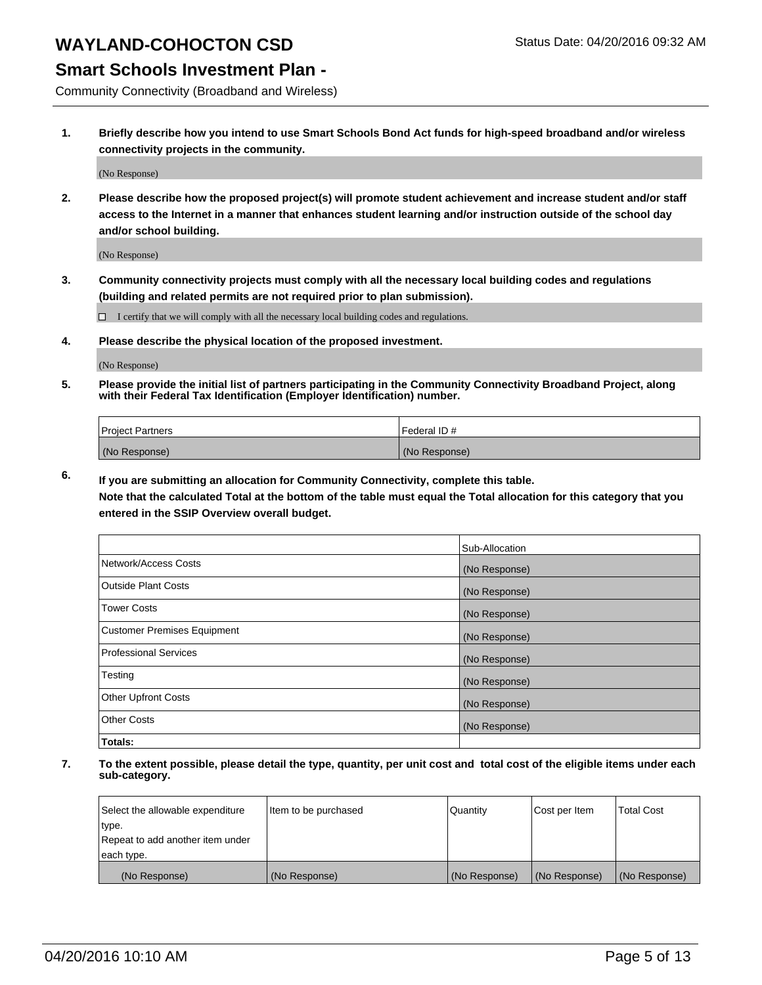### **Smart Schools Investment Plan -**

Community Connectivity (Broadband and Wireless)

**1. Briefly describe how you intend to use Smart Schools Bond Act funds for high-speed broadband and/or wireless connectivity projects in the community.**

(No Response)

**2. Please describe how the proposed project(s) will promote student achievement and increase student and/or staff access to the Internet in a manner that enhances student learning and/or instruction outside of the school day and/or school building.**

(No Response)

**3. Community connectivity projects must comply with all the necessary local building codes and regulations (building and related permits are not required prior to plan submission).**

 $\Box$  I certify that we will comply with all the necessary local building codes and regulations.

**4. Please describe the physical location of the proposed investment.**

(No Response)

**5. Please provide the initial list of partners participating in the Community Connectivity Broadband Project, along with their Federal Tax Identification (Employer Identification) number.**

| <b>Project Partners</b> | <b>IFederal ID#</b> |
|-------------------------|---------------------|
| (No Response)           | (No Response)       |

**6. If you are submitting an allocation for Community Connectivity, complete this table.**

**Note that the calculated Total at the bottom of the table must equal the Total allocation for this category that you entered in the SSIP Overview overall budget.**

|                                    | Sub-Allocation |
|------------------------------------|----------------|
| Network/Access Costs               | (No Response)  |
| Outside Plant Costs                | (No Response)  |
| Tower Costs                        | (No Response)  |
| <b>Customer Premises Equipment</b> | (No Response)  |
| Professional Services              | (No Response)  |
| Testing                            | (No Response)  |
| <b>Other Upfront Costs</b>         | (No Response)  |
| Other Costs                        | (No Response)  |
| Totals:                            |                |

| Select the allowable expenditure | Item to be purchased | Quantity      | Cost per Item | <b>Total Cost</b> |
|----------------------------------|----------------------|---------------|---------------|-------------------|
| type.                            |                      |               |               |                   |
| Repeat to add another item under |                      |               |               |                   |
| each type.                       |                      |               |               |                   |
| (No Response)                    | (No Response)        | (No Response) | (No Response) | (No Response)     |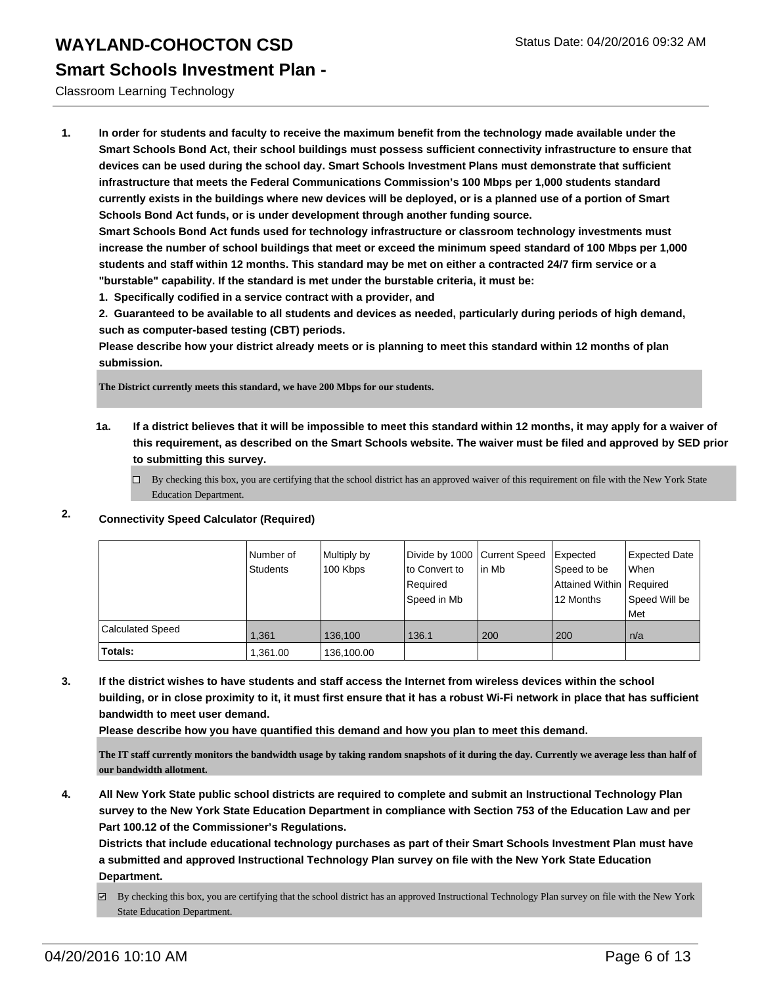### **Smart Schools Investment Plan -**

Classroom Learning Technology

**1. In order for students and faculty to receive the maximum benefit from the technology made available under the Smart Schools Bond Act, their school buildings must possess sufficient connectivity infrastructure to ensure that devices can be used during the school day. Smart Schools Investment Plans must demonstrate that sufficient infrastructure that meets the Federal Communications Commission's 100 Mbps per 1,000 students standard currently exists in the buildings where new devices will be deployed, or is a planned use of a portion of Smart Schools Bond Act funds, or is under development through another funding source.**

**Smart Schools Bond Act funds used for technology infrastructure or classroom technology investments must increase the number of school buildings that meet or exceed the minimum speed standard of 100 Mbps per 1,000 students and staff within 12 months. This standard may be met on either a contracted 24/7 firm service or a "burstable" capability. If the standard is met under the burstable criteria, it must be:**

**1. Specifically codified in a service contract with a provider, and**

**2. Guaranteed to be available to all students and devices as needed, particularly during periods of high demand, such as computer-based testing (CBT) periods.**

**Please describe how your district already meets or is planning to meet this standard within 12 months of plan submission.**

**The District currently meets this standard, we have 200 Mbps for our students.**

**1a. If a district believes that it will be impossible to meet this standard within 12 months, it may apply for a waiver of this requirement, as described on the Smart Schools website. The waiver must be filed and approved by SED prior to submitting this survey.**

 $\Box$  By checking this box, you are certifying that the school district has an approved waiver of this requirement on file with the New York State Education Department.

|                         | Number of<br><b>Students</b> | Multiply by<br>100 Kbps | Divide by 1000 Current Speed<br>Ito Convert to<br>Required<br>Speed in Mb | In Mb | Expected<br>Speed to be<br>Attained Within   Required<br>12 Months | <b>Expected Date</b><br>When<br>Speed Will be<br>Met |
|-------------------------|------------------------------|-------------------------|---------------------------------------------------------------------------|-------|--------------------------------------------------------------------|------------------------------------------------------|
| <b>Calculated Speed</b> | 1,361                        | 136.100                 | 136.1                                                                     | 200   | 200                                                                | ∣n/a                                                 |
| Totals:                 | 1,361.00                     | 136,100.00              |                                                                           |       |                                                                    |                                                      |

### **2. Connectivity Speed Calculator (Required)**

**3. If the district wishes to have students and staff access the Internet from wireless devices within the school building, or in close proximity to it, it must first ensure that it has a robust Wi-Fi network in place that has sufficient bandwidth to meet user demand.**

**Please describe how you have quantified this demand and how you plan to meet this demand.**

**The IT staff currently monitors the bandwidth usage by taking random snapshots of it during the day. Currently we average less than half of our bandwidth allotment.**

**4. All New York State public school districts are required to complete and submit an Instructional Technology Plan survey to the New York State Education Department in compliance with Section 753 of the Education Law and per Part 100.12 of the Commissioner's Regulations.**

**Districts that include educational technology purchases as part of their Smart Schools Investment Plan must have a submitted and approved Instructional Technology Plan survey on file with the New York State Education Department.**

By checking this box, you are certifying that the school district has an approved Instructional Technology Plan survey on file with the New York State Education Department.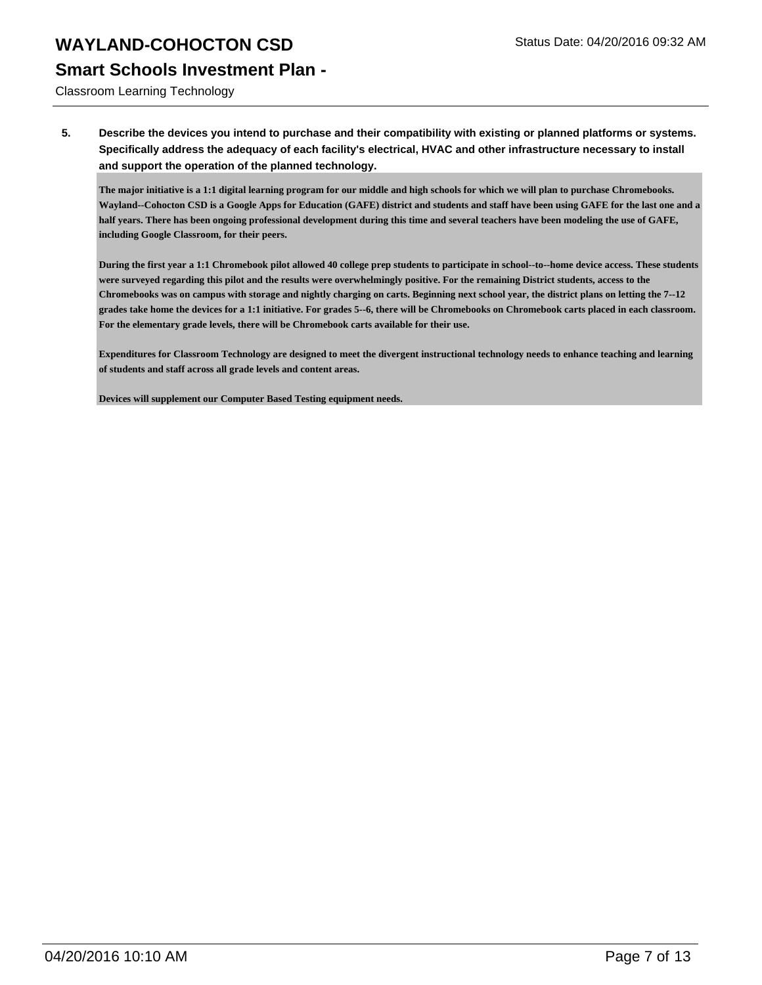Classroom Learning Technology

**5. Describe the devices you intend to purchase and their compatibility with existing or planned platforms or systems. Specifically address the adequacy of each facility's electrical, HVAC and other infrastructure necessary to install and support the operation of the planned technology.**

**The major initiative is a 1:1 digital learning program for our middle and high schools for which we will plan to purchase Chromebooks. Wayland--Cohocton CSD is a Google Apps for Education (GAFE) district and students and staff have been using GAFE for the last one and a half years. There has been ongoing professional development during this time and several teachers have been modeling the use of GAFE, including Google Classroom, for their peers.**

**During the first year a 1:1 Chromebook pilot allowed 40 college prep students to participate in school--to--home device access. These students were surveyed regarding this pilot and the results were overwhelmingly positive. For the remaining District students, access to the Chromebooks was on campus with storage and nightly charging on carts. Beginning next school year, the district plans on letting the 7--12 grades take home the devices for a 1:1 initiative. For grades 5--6, there will be Chromebooks on Chromebook carts placed in each classroom. For the elementary grade levels, there will be Chromebook carts available for their use.**

**Expenditures for Classroom Technology are designed to meet the divergent instructional technology needs to enhance teaching and learning of students and staff across all grade levels and content areas.**

**Devices will supplement our Computer Based Testing equipment needs.**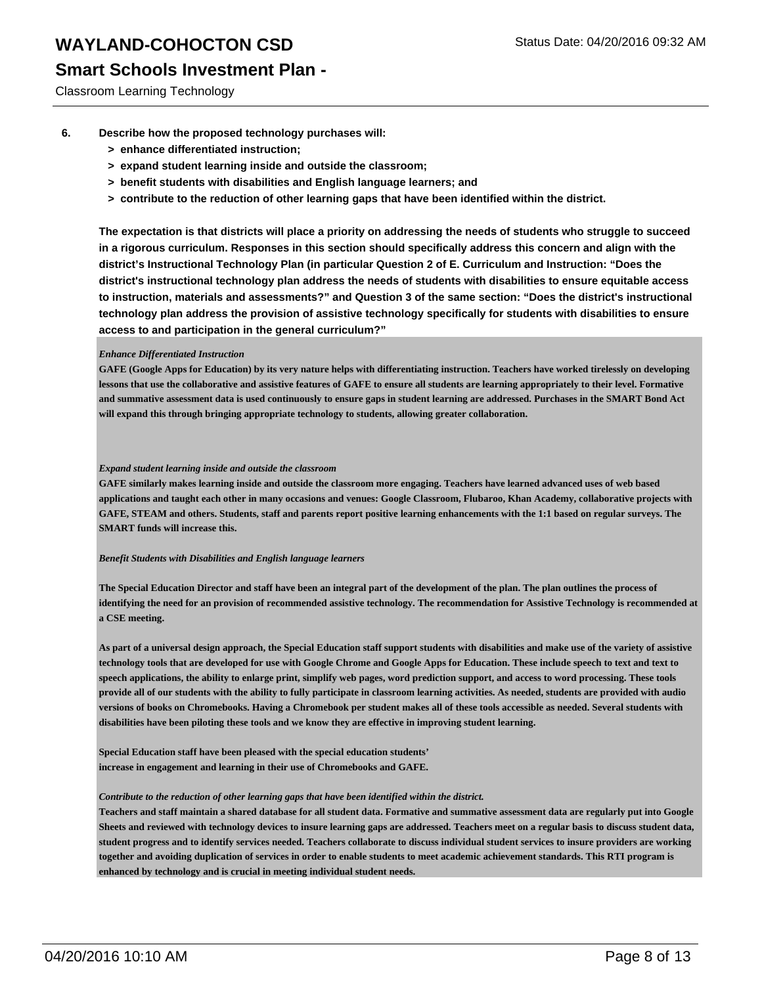### **Smart Schools Investment Plan -**

Classroom Learning Technology

- **6. Describe how the proposed technology purchases will:**
	- **> enhance differentiated instruction;**
	- **> expand student learning inside and outside the classroom;**
	- **> benefit students with disabilities and English language learners; and**
	- **> contribute to the reduction of other learning gaps that have been identified within the district.**

**The expectation is that districts will place a priority on addressing the needs of students who struggle to succeed in a rigorous curriculum. Responses in this section should specifically address this concern and align with the district's Instructional Technology Plan (in particular Question 2 of E. Curriculum and Instruction: "Does the district's instructional technology plan address the needs of students with disabilities to ensure equitable access to instruction, materials and assessments?" and Question 3 of the same section: "Does the district's instructional technology plan address the provision of assistive technology specifically for students with disabilities to ensure access to and participation in the general curriculum?"**

#### *Enhance Differentiated Instruction*

**GAFE (Google Apps for Education) by its very nature helps with differentiating instruction. Teachers have worked tirelessly on developing lessons that use the collaborative and assistive features of GAFE to ensure all students are learning appropriately to their level. Formative and summative assessment data is used continuously to ensure gaps in student learning are addressed. Purchases in the SMART Bond Act will expand this through bringing appropriate technology to students, allowing greater collaboration.**

#### *Expand student learning inside and outside the classroom*

**GAFE similarly makes learning inside and outside the classroom more engaging. Teachers have learned advanced uses of web based applications and taught each other in many occasions and venues: Google Classroom, Flubaroo, Khan Academy, collaborative projects with GAFE, STEAM and others. Students, staff and parents report positive learning enhancements with the 1:1 based on regular surveys. The SMART funds will increase this.**

#### *Benefit Students with Disabilities and English language learners*

**The Special Education Director and staff have been an integral part of the development of the plan. The plan outlines the process of identifying the need for an provision of recommended assistive technology. The recommendation for Assistive Technology is recommended at a CSE meeting.**

**As part of a universal design approach, the Special Education staff support students with disabilities and make use of the variety of assistive technology tools that are developed for use with Google Chrome and Google Apps for Education. These include speech to text and text to speech applications, the ability to enlarge print, simplify web pages, word prediction support, and access to word processing. These tools provide all of our students with the ability to fully participate in classroom learning activities. As needed, students are provided with audio versions of books on Chromebooks. Having a Chromebook per student makes all of these tools accessible as needed. Several students with disabilities have been piloting these tools and we know they are effective in improving student learning.**

**Special Education staff have been pleased with the special education students' increase in engagement and learning in their use of Chromebooks and GAFE.**

#### *Contribute to the reduction of other learning gaps that have been identified within the district.*

**Teachers and staff maintain a shared database for all student data. Formative and summative assessment data are regularly put into Google Sheets and reviewed with technology devices to insure learning gaps are addressed. Teachers meet on a regular basis to discuss student data, student progress and to identify services needed. Teachers collaborate to discuss individual student services to insure providers are working together and avoiding duplication of services in order to enable students to meet academic achievement standards. This RTI program is enhanced by technology and is crucial in meeting individual student needs.**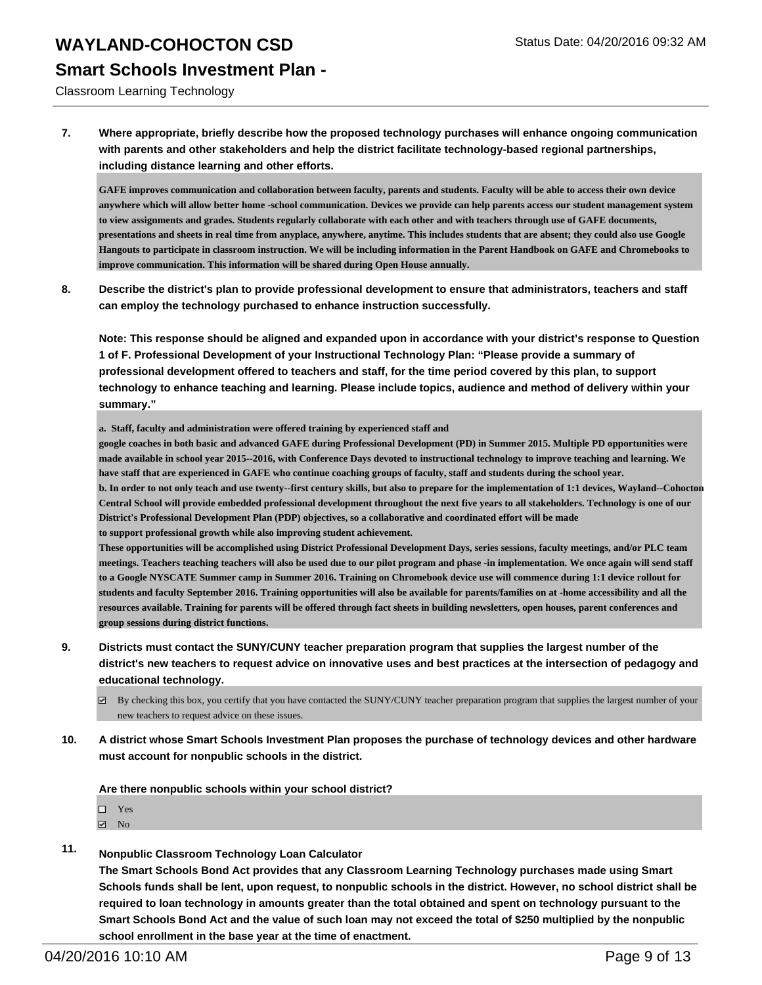### **Smart Schools Investment Plan -**

Classroom Learning Technology

**7. Where appropriate, briefly describe how the proposed technology purchases will enhance ongoing communication with parents and other stakeholders and help the district facilitate technology-based regional partnerships, including distance learning and other efforts.**

**GAFE improves communication and collaboration between faculty, parents and students. Faculty will be able to access their own device anywhere which will allow better home -school communication. Devices we provide can help parents access our student management system to view assignments and grades. Students regularly collaborate with each other and with teachers through use of GAFE documents, presentations and sheets in real time from anyplace, anywhere, anytime. This includes students that are absent; they could also use Google Hangouts to participate in classroom instruction. We will be including information in the Parent Handbook on GAFE and Chromebooks to improve communication. This information will be shared during Open House annually.**

**8. Describe the district's plan to provide professional development to ensure that administrators, teachers and staff can employ the technology purchased to enhance instruction successfully.**

**Note: This response should be aligned and expanded upon in accordance with your district's response to Question 1 of F. Professional Development of your Instructional Technology Plan: "Please provide a summary of professional development offered to teachers and staff, for the time period covered by this plan, to support technology to enhance teaching and learning. Please include topics, audience and method of delivery within your summary."**

**a. Staff, faculty and administration were offered training by experienced staff and**

**google coaches in both basic and advanced GAFE during Professional Development (PD) in Summer 2015. Multiple PD opportunities were made available in school year 2015--2016, with Conference Days devoted to instructional technology to improve teaching and learning. We have staff that are experienced in GAFE who continue coaching groups of faculty, staff and students during the school year. b. In order to not only teach and use twenty--first century skills, but also to prepare for the implementation of 1:1 devices, Wayland--Cohocton Central School will provide embedded professional development throughout the next five years to all stakeholders. Technology is one of our District's Professional Development Plan (PDP) objectives, so a collaborative and coordinated effort will be made to support professional growth while also improving student achievement.**

**These opportunities will be accomplished using District Professional Development Days, series sessions, faculty meetings, and/or PLC team meetings. Teachers teaching teachers will also be used due to our pilot program and phase -in implementation. We once again will send staff to a Google NYSCATE Summer camp in Summer 2016. Training on Chromebook device use will commence during 1:1 device rollout for students and faculty September 2016. Training opportunities will also be available for parents/families on at -home accessibility and all the resources available. Training for parents will be offered through fact sheets in building newsletters, open houses, parent conferences and group sessions during district functions.**

- **9. Districts must contact the SUNY/CUNY teacher preparation program that supplies the largest number of the district's new teachers to request advice on innovative uses and best practices at the intersection of pedagogy and educational technology.**
	- $\boxtimes$  By checking this box, you certify that you have contacted the SUNY/CUNY teacher preparation program that supplies the largest number of your new teachers to request advice on these issues.
- **10. A district whose Smart Schools Investment Plan proposes the purchase of technology devices and other hardware must account for nonpublic schools in the district.**

**Are there nonpublic schools within your school district?**

| П<br>Yes |
|----------|
|----------|

- $\boxdot$  No
- **11. Nonpublic Classroom Technology Loan Calculator**

**The Smart Schools Bond Act provides that any Classroom Learning Technology purchases made using Smart Schools funds shall be lent, upon request, to nonpublic schools in the district. However, no school district shall be required to loan technology in amounts greater than the total obtained and spent on technology pursuant to the Smart Schools Bond Act and the value of such loan may not exceed the total of \$250 multiplied by the nonpublic school enrollment in the base year at the time of enactment.**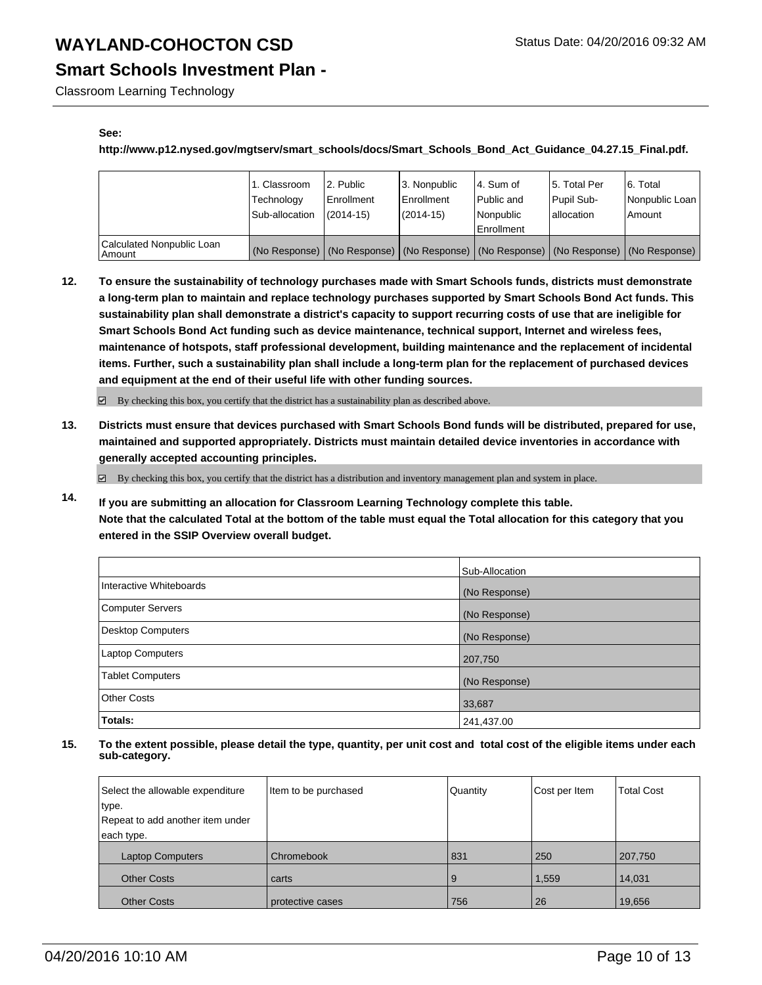### **Smart Schools Investment Plan -**

Classroom Learning Technology

#### **See:**

#### **http://www.p12.nysed.gov/mgtserv/smart\_schools/docs/Smart\_Schools\_Bond\_Act\_Guidance\_04.27.15\_Final.pdf.**

|                                     | 1. Classroom<br>Technology<br>Sub-allocation                                                  | 2. Public<br>Enrollment<br>$(2014 - 15)$ | 3. Nonpublic<br>Enrollment<br>$(2014 - 15)$ | 4. Sum of<br><b>Public and</b><br>Nonpublic<br>Enrollment | 15. Total Per<br>Pupil Sub-<br>lallocation | 16. Total<br>Nonpublic Loan<br>l Amount |
|-------------------------------------|-----------------------------------------------------------------------------------------------|------------------------------------------|---------------------------------------------|-----------------------------------------------------------|--------------------------------------------|-----------------------------------------|
| Calculated Nonpublic Loan<br>Amount | (No Response)   (No Response)   (No Response)   (No Response)   (No Response)   (No Response) |                                          |                                             |                                                           |                                            |                                         |

**12. To ensure the sustainability of technology purchases made with Smart Schools funds, districts must demonstrate a long-term plan to maintain and replace technology purchases supported by Smart Schools Bond Act funds. This sustainability plan shall demonstrate a district's capacity to support recurring costs of use that are ineligible for Smart Schools Bond Act funding such as device maintenance, technical support, Internet and wireless fees, maintenance of hotspots, staff professional development, building maintenance and the replacement of incidental items. Further, such a sustainability plan shall include a long-term plan for the replacement of purchased devices and equipment at the end of their useful life with other funding sources.**

 $\boxdot$  By checking this box, you certify that the district has a sustainability plan as described above.

**13. Districts must ensure that devices purchased with Smart Schools Bond funds will be distributed, prepared for use, maintained and supported appropriately. Districts must maintain detailed device inventories in accordance with generally accepted accounting principles.**

By checking this box, you certify that the district has a distribution and inventory management plan and system in place.

**14. If you are submitting an allocation for Classroom Learning Technology complete this table. Note that the calculated Total at the bottom of the table must equal the Total allocation for this category that you entered in the SSIP Overview overall budget.**

|                          | Sub-Allocation |
|--------------------------|----------------|
| Interactive Whiteboards  | (No Response)  |
| <b>Computer Servers</b>  | (No Response)  |
| <b>Desktop Computers</b> | (No Response)  |
| <b>Laptop Computers</b>  | 207,750        |
| <b>Tablet Computers</b>  | (No Response)  |
| <b>Other Costs</b>       | 33,687         |
| Totals:                  | 241,437.00     |

| Select the allowable expenditure | Item to be purchased | Quantity | Cost per Item | <b>Total Cost</b> |
|----------------------------------|----------------------|----------|---------------|-------------------|
| type.                            |                      |          |               |                   |
| Repeat to add another item under |                      |          |               |                   |
| each type.                       |                      |          |               |                   |
| <b>Laptop Computers</b>          | Chromebook           | 831      | 250           | 207,750           |
| <b>Other Costs</b>               | carts                | 9        | 1,559         | 14,031            |
| <b>Other Costs</b>               | protective cases     | 756      | 26            | 19,656            |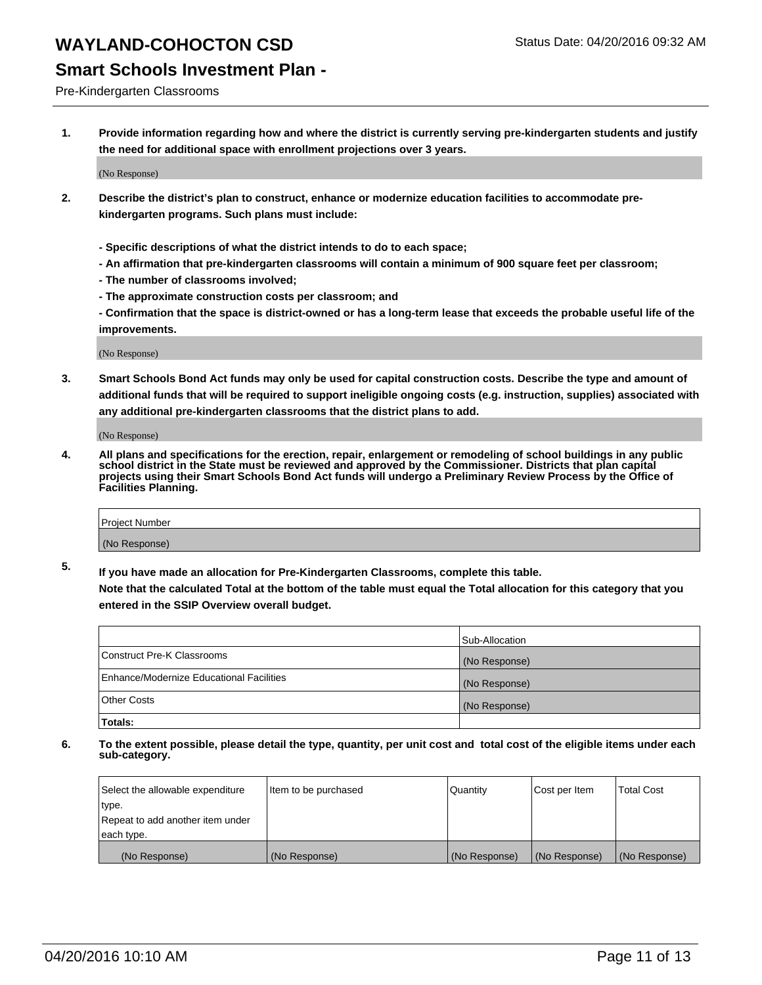### **Smart Schools Investment Plan -**

Pre-Kindergarten Classrooms

**1. Provide information regarding how and where the district is currently serving pre-kindergarten students and justify the need for additional space with enrollment projections over 3 years.**

(No Response)

- **2. Describe the district's plan to construct, enhance or modernize education facilities to accommodate prekindergarten programs. Such plans must include:**
	- **Specific descriptions of what the district intends to do to each space;**
	- **An affirmation that pre-kindergarten classrooms will contain a minimum of 900 square feet per classroom;**
	- **The number of classrooms involved;**
	- **The approximate construction costs per classroom; and**
	- **Confirmation that the space is district-owned or has a long-term lease that exceeds the probable useful life of the improvements.**

(No Response)

**3. Smart Schools Bond Act funds may only be used for capital construction costs. Describe the type and amount of additional funds that will be required to support ineligible ongoing costs (e.g. instruction, supplies) associated with any additional pre-kindergarten classrooms that the district plans to add.**

(No Response)

**4. All plans and specifications for the erection, repair, enlargement or remodeling of school buildings in any public school district in the State must be reviewed and approved by the Commissioner. Districts that plan capital projects using their Smart Schools Bond Act funds will undergo a Preliminary Review Process by the Office of Facilities Planning.**

| Project Number |  |
|----------------|--|
| (No Response)  |  |

**5. If you have made an allocation for Pre-Kindergarten Classrooms, complete this table. Note that the calculated Total at the bottom of the table must equal the Total allocation for this category that you**

**entered in the SSIP Overview overall budget.**

|                                          | Sub-Allocation |
|------------------------------------------|----------------|
| Construct Pre-K Classrooms               | (No Response)  |
| Enhance/Modernize Educational Facilities | (No Response)  |
| Other Costs                              | (No Response)  |
| Totals:                                  |                |

| Select the allowable expenditure | Item to be purchased | Quantity      | Cost per Item | <b>Total Cost</b> |
|----------------------------------|----------------------|---------------|---------------|-------------------|
| type.                            |                      |               |               |                   |
| Repeat to add another item under |                      |               |               |                   |
| each type.                       |                      |               |               |                   |
| (No Response)                    | (No Response)        | (No Response) | (No Response) | (No Response)     |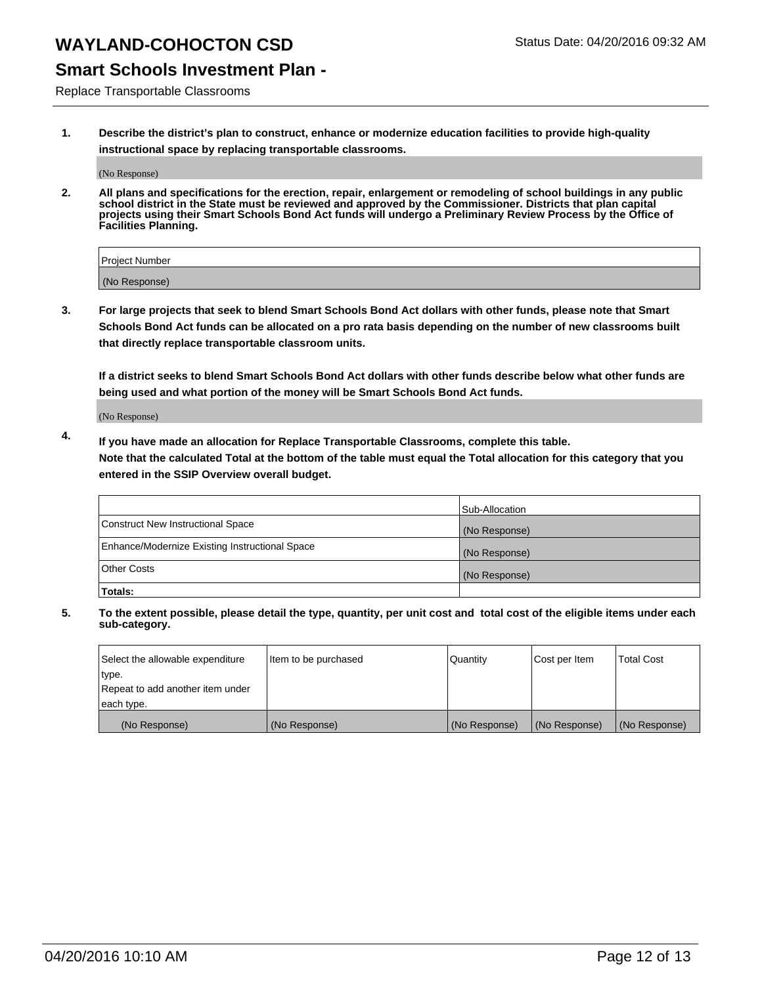### **Smart Schools Investment Plan -**

Replace Transportable Classrooms

**1. Describe the district's plan to construct, enhance or modernize education facilities to provide high-quality instructional space by replacing transportable classrooms.**

(No Response)

**2. All plans and specifications for the erection, repair, enlargement or remodeling of school buildings in any public school district in the State must be reviewed and approved by the Commissioner. Districts that plan capital projects using their Smart Schools Bond Act funds will undergo a Preliminary Review Process by the Office of Facilities Planning.**

| Project Number |  |
|----------------|--|
| (No Response)  |  |

**3. For large projects that seek to blend Smart Schools Bond Act dollars with other funds, please note that Smart Schools Bond Act funds can be allocated on a pro rata basis depending on the number of new classrooms built that directly replace transportable classroom units.**

**If a district seeks to blend Smart Schools Bond Act dollars with other funds describe below what other funds are being used and what portion of the money will be Smart Schools Bond Act funds.**

(No Response)

**4. If you have made an allocation for Replace Transportable Classrooms, complete this table. Note that the calculated Total at the bottom of the table must equal the Total allocation for this category that you entered in the SSIP Overview overall budget.**

|                                                | Sub-Allocation |
|------------------------------------------------|----------------|
| Construct New Instructional Space              | (No Response)  |
| Enhance/Modernize Existing Instructional Space | (No Response)  |
| <b>Other Costs</b>                             | (No Response)  |
| Totals:                                        |                |

| Select the allowable expenditure | Item to be purchased | <b>Quantity</b> | Cost per Item | <b>Total Cost</b> |
|----------------------------------|----------------------|-----------------|---------------|-------------------|
| type.                            |                      |                 |               |                   |
| Repeat to add another item under |                      |                 |               |                   |
| each type.                       |                      |                 |               |                   |
| (No Response)                    | (No Response)        | (No Response)   | (No Response) | (No Response)     |